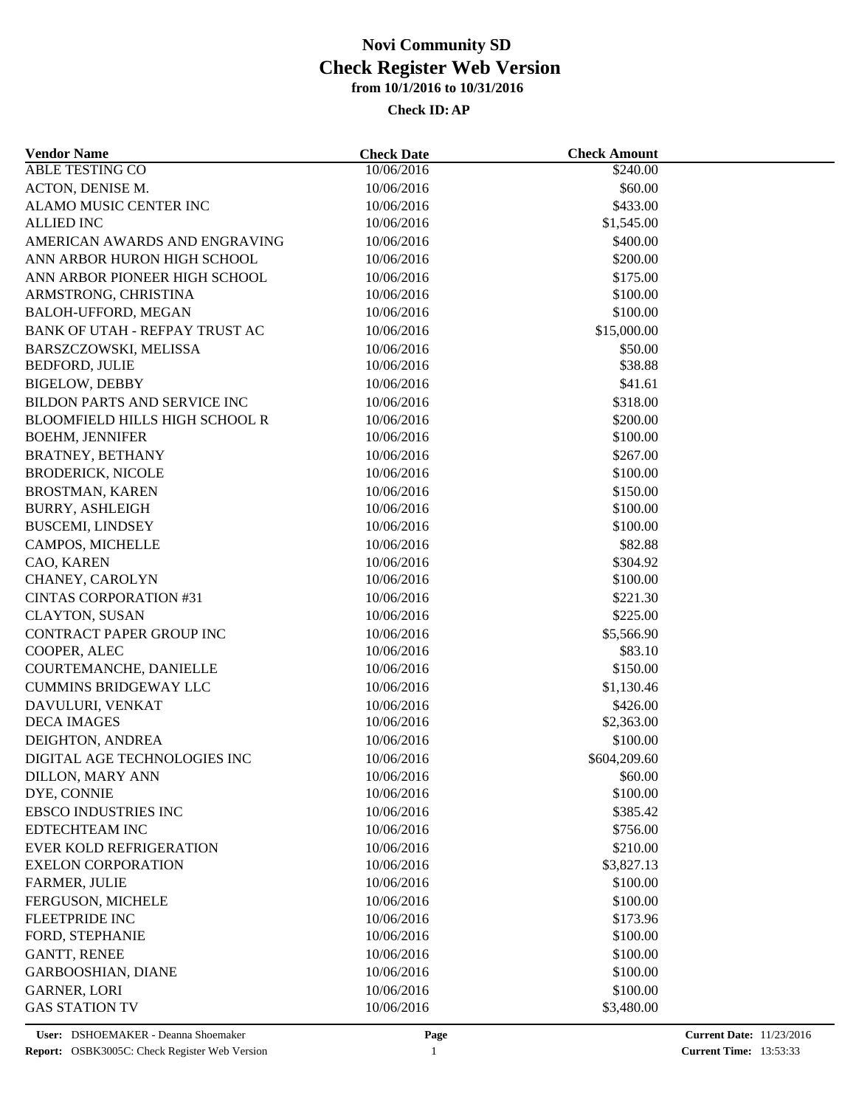| <b>Vendor Name</b>                    | <b>Check Date</b> | <b>Check Amount</b> |  |
|---------------------------------------|-------------------|---------------------|--|
| ABLE TESTING CO                       | 10/06/2016        | \$240.00            |  |
| ACTON, DENISE M.                      | 10/06/2016        | \$60.00             |  |
| ALAMO MUSIC CENTER INC                | 10/06/2016        | \$433.00            |  |
| <b>ALLIED INC</b>                     | 10/06/2016        | \$1,545.00          |  |
| AMERICAN AWARDS AND ENGRAVING         | 10/06/2016        | \$400.00            |  |
| ANN ARBOR HURON HIGH SCHOOL           | 10/06/2016        | \$200.00            |  |
| ANN ARBOR PIONEER HIGH SCHOOL         | 10/06/2016        | \$175.00            |  |
| ARMSTRONG, CHRISTINA                  | 10/06/2016        | \$100.00            |  |
| BALOH-UFFORD, MEGAN                   | 10/06/2016        | \$100.00            |  |
| BANK OF UTAH - REFPAY TRUST AC        | 10/06/2016        | \$15,000.00         |  |
| BARSZCZOWSKI, MELISSA                 | 10/06/2016        | \$50.00             |  |
| <b>BEDFORD, JULIE</b>                 | 10/06/2016        | \$38.88             |  |
| <b>BIGELOW, DEBBY</b>                 | 10/06/2016        | \$41.61             |  |
| BILDON PARTS AND SERVICE INC          | 10/06/2016        | \$318.00            |  |
| <b>BLOOMFIELD HILLS HIGH SCHOOL R</b> | 10/06/2016        | \$200.00            |  |
| <b>BOEHM, JENNIFER</b>                | 10/06/2016        | \$100.00            |  |
| <b>BRATNEY, BETHANY</b>               | 10/06/2016        | \$267.00            |  |
| <b>BRODERICK, NICOLE</b>              | 10/06/2016        | \$100.00            |  |
| <b>BROSTMAN, KAREN</b>                | 10/06/2016        | \$150.00            |  |
| <b>BURRY, ASHLEIGH</b>                | 10/06/2016        | \$100.00            |  |
| <b>BUSCEMI, LINDSEY</b>               | 10/06/2016        | \$100.00            |  |
| CAMPOS, MICHELLE                      | 10/06/2016        | \$82.88             |  |
| CAO, KAREN                            | 10/06/2016        | \$304.92            |  |
| CHANEY, CAROLYN                       | 10/06/2016        | \$100.00            |  |
| <b>CINTAS CORPORATION #31</b>         | 10/06/2016        | \$221.30            |  |
| <b>CLAYTON, SUSAN</b>                 | 10/06/2016        | \$225.00            |  |
| CONTRACT PAPER GROUP INC              | 10/06/2016        | \$5,566.90          |  |
| COOPER, ALEC                          | 10/06/2016        | \$83.10             |  |
| COURTEMANCHE, DANIELLE                | 10/06/2016        | \$150.00            |  |
| <b>CUMMINS BRIDGEWAY LLC</b>          | 10/06/2016        | \$1,130.46          |  |
| DAVULURI, VENKAT                      | 10/06/2016        | \$426.00            |  |
| <b>DECA IMAGES</b>                    | 10/06/2016        | \$2,363.00          |  |
| DEIGHTON, ANDREA                      | 10/06/2016        | \$100.00            |  |
| DIGITAL AGE TECHNOLOGIES INC          | 10/06/2016        | \$604,209.60        |  |
| <b>DILLON, MARY ANN</b>               | 10/06/2016        | \$60.00             |  |
| DYE, CONNIE                           | 10/06/2016        | \$100.00            |  |
| <b>EBSCO INDUSTRIES INC</b>           | 10/06/2016        | \$385.42            |  |
| <b>EDTECHTEAM INC</b>                 | 10/06/2016        | \$756.00            |  |
| <b>EVER KOLD REFRIGERATION</b>        | 10/06/2016        | \$210.00            |  |
| <b>EXELON CORPORATION</b>             | 10/06/2016        | \$3,827.13          |  |
| FARMER, JULIE                         | 10/06/2016        | \$100.00            |  |
| FERGUSON, MICHELE                     | 10/06/2016        | \$100.00            |  |
| FLEETPRIDE INC                        | 10/06/2016        | \$173.96            |  |
| FORD, STEPHANIE                       | 10/06/2016        | \$100.00            |  |
| <b>GANTT, RENEE</b>                   | 10/06/2016        | \$100.00            |  |
| <b>GARBOOSHIAN, DIANE</b>             | 10/06/2016        | \$100.00            |  |
| <b>GARNER, LORI</b>                   | 10/06/2016        | \$100.00            |  |
| <b>GAS STATION TV</b>                 | 10/06/2016        | \$3,480.00          |  |
|                                       |                   |                     |  |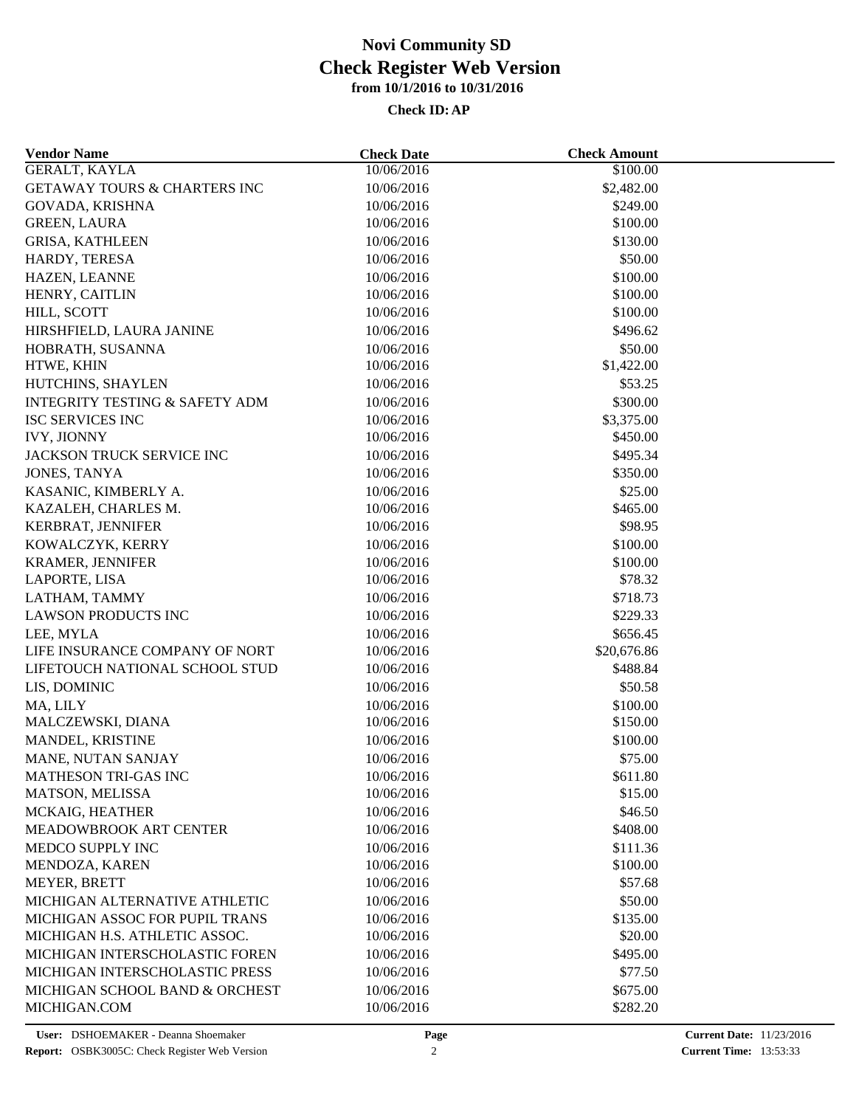| <b>Vendor Name</b>                                               | <b>Check Date</b> | <b>Check Amount</b>     |  |
|------------------------------------------------------------------|-------------------|-------------------------|--|
| GERALT, KAYLA                                                    | 10/06/2016        | \$100.00                |  |
| <b>GETAWAY TOURS &amp; CHARTERS INC</b>                          | 10/06/2016        | \$2,482.00              |  |
| GOVADA, KRISHNA                                                  | 10/06/2016        | \$249.00                |  |
| <b>GREEN, LAURA</b>                                              | 10/06/2016        | \$100.00                |  |
| <b>GRISA, KATHLEEN</b>                                           | 10/06/2016        | \$130.00                |  |
| HARDY, TERESA                                                    | 10/06/2016        | \$50.00                 |  |
| HAZEN, LEANNE                                                    | 10/06/2016        | \$100.00                |  |
| HENRY, CAITLIN                                                   | 10/06/2016        | \$100.00                |  |
| HILL, SCOTT                                                      | 10/06/2016        | \$100.00                |  |
| HIRSHFIELD, LAURA JANINE                                         | 10/06/2016        | \$496.62                |  |
| HOBRATH, SUSANNA                                                 | 10/06/2016        | \$50.00                 |  |
| HTWE, KHIN                                                       | 10/06/2016        | \$1,422.00              |  |
| HUTCHINS, SHAYLEN                                                | 10/06/2016        | \$53.25                 |  |
| <b>INTEGRITY TESTING &amp; SAFETY ADM</b>                        | 10/06/2016        | \$300.00                |  |
| <b>ISC SERVICES INC</b>                                          | 10/06/2016        | \$3,375.00              |  |
| <b>IVY, JIONNY</b>                                               | 10/06/2016        | \$450.00                |  |
| JACKSON TRUCK SERVICE INC                                        | 10/06/2016        | \$495.34                |  |
| JONES, TANYA                                                     | 10/06/2016        | \$350.00                |  |
| KASANIC, KIMBERLY A.                                             | 10/06/2016        | \$25.00                 |  |
| KAZALEH, CHARLES M.                                              | 10/06/2016        | \$465.00                |  |
| KERBRAT, JENNIFER                                                | 10/06/2016        | \$98.95                 |  |
| KOWALCZYK, KERRY                                                 | 10/06/2016        | \$100.00                |  |
| <b>KRAMER, JENNIFER</b>                                          | 10/06/2016        | \$100.00                |  |
| LAPORTE, LISA                                                    | 10/06/2016        | \$78.32                 |  |
| LATHAM, TAMMY                                                    | 10/06/2016        | \$718.73                |  |
| <b>LAWSON PRODUCTS INC</b>                                       | 10/06/2016        | \$229.33                |  |
|                                                                  |                   |                         |  |
| LEE, MYLA                                                        | 10/06/2016        | \$656.45                |  |
| LIFE INSURANCE COMPANY OF NORT<br>LIFETOUCH NATIONAL SCHOOL STUD | 10/06/2016        | \$20,676.86<br>\$488.84 |  |
|                                                                  | 10/06/2016        |                         |  |
| LIS, DOMINIC                                                     | 10/06/2016        | \$50.58                 |  |
| MA, LILY                                                         | 10/06/2016        | \$100.00                |  |
| MALCZEWSKI, DIANA                                                | 10/06/2016        | \$150.00                |  |
| MANDEL, KRISTINE                                                 | 10/06/2016        | \$100.00                |  |
| MANE, NUTAN SANJAY                                               | 10/06/2016        | \$75.00                 |  |
| MATHESON TRI-GAS INC                                             | 10/06/2016        | \$611.80                |  |
| MATSON, MELISSA                                                  | 10/06/2016        | \$15.00                 |  |
| MCKAIG, HEATHER                                                  | 10/06/2016        | \$46.50                 |  |
| MEADOWBROOK ART CENTER                                           | 10/06/2016        | \$408.00                |  |
| MEDCO SUPPLY INC                                                 | 10/06/2016        | \$111.36                |  |
| MENDOZA, KAREN                                                   | 10/06/2016        | \$100.00                |  |
| MEYER, BRETT                                                     | 10/06/2016        | \$57.68                 |  |
| MICHIGAN ALTERNATIVE ATHLETIC                                    | 10/06/2016        | \$50.00                 |  |
| MICHIGAN ASSOC FOR PUPIL TRANS                                   | 10/06/2016        | \$135.00                |  |
| MICHIGAN H.S. ATHLETIC ASSOC.                                    | 10/06/2016        | \$20.00                 |  |
| MICHIGAN INTERSCHOLASTIC FOREN                                   | 10/06/2016        | \$495.00                |  |
| MICHIGAN INTERSCHOLASTIC PRESS                                   | 10/06/2016        | \$77.50                 |  |
| MICHIGAN SCHOOL BAND & ORCHEST                                   | 10/06/2016        | \$675.00                |  |
| MICHIGAN.COM                                                     | 10/06/2016        | \$282.20                |  |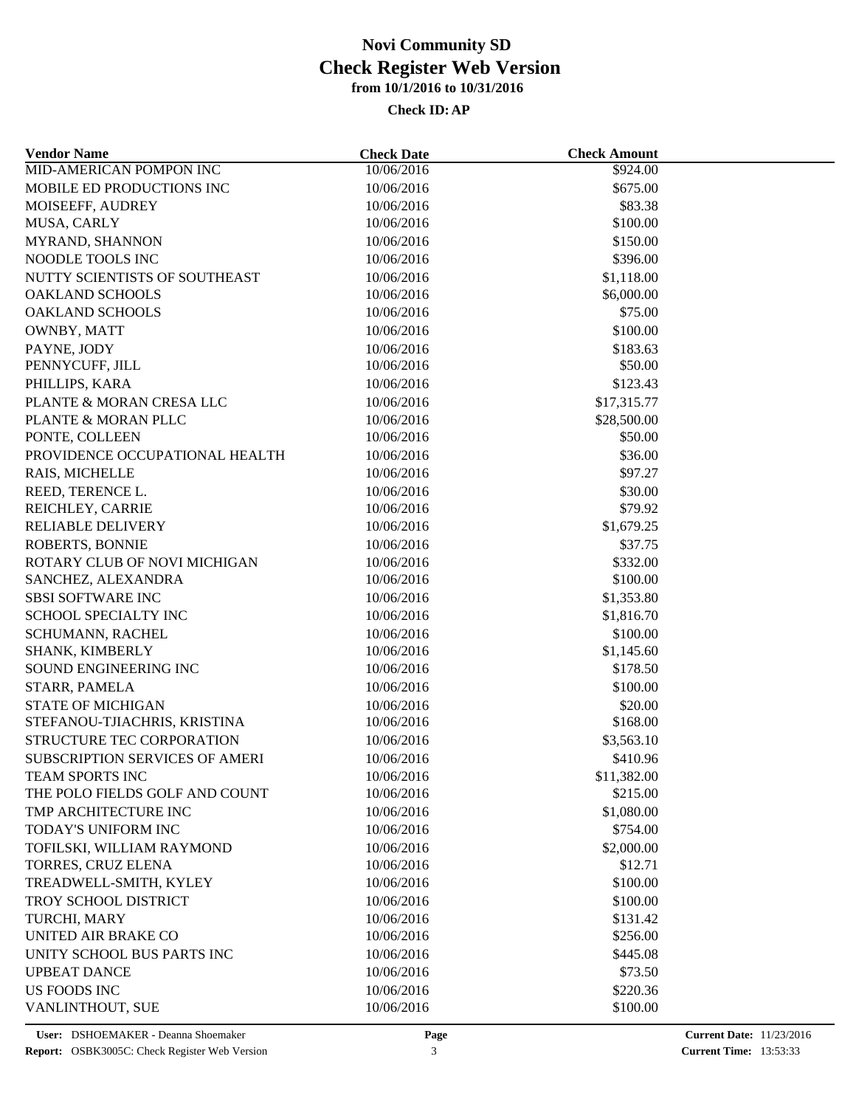| <b>Vendor Name</b>             | <b>Check Date</b> | <b>Check Amount</b>   |  |
|--------------------------------|-------------------|-----------------------|--|
| <b>MID-AMERICAN POMPON INC</b> | 10/06/2016        | \$924.00              |  |
| MOBILE ED PRODUCTIONS INC      | 10/06/2016        | \$675.00              |  |
| MOISEEFF, AUDREY               | 10/06/2016        | \$83.38               |  |
| MUSA, CARLY                    | 10/06/2016        | \$100.00              |  |
| MYRAND, SHANNON                | 10/06/2016        | \$150.00              |  |
| NOODLE TOOLS INC               | 10/06/2016        | \$396.00              |  |
| NUTTY SCIENTISTS OF SOUTHEAST  | 10/06/2016        | \$1,118.00            |  |
| <b>OAKLAND SCHOOLS</b>         | 10/06/2016        | \$6,000.00            |  |
| <b>OAKLAND SCHOOLS</b>         | 10/06/2016        | \$75.00               |  |
| OWNBY, MATT                    | 10/06/2016        | \$100.00              |  |
| PAYNE, JODY                    | 10/06/2016        | \$183.63              |  |
| PENNYCUFF, JILL                | 10/06/2016        | \$50.00               |  |
| PHILLIPS, KARA                 | 10/06/2016        | \$123.43              |  |
| PLANTE & MORAN CRESA LLC       | 10/06/2016        | \$17,315.77           |  |
| PLANTE & MORAN PLLC            | 10/06/2016        | \$28,500.00           |  |
| PONTE, COLLEEN                 | 10/06/2016        | \$50.00               |  |
| PROVIDENCE OCCUPATIONAL HEALTH | 10/06/2016        | \$36.00               |  |
| RAIS, MICHELLE                 | 10/06/2016        | \$97.27               |  |
| REED, TERENCE L.               | 10/06/2016        | \$30.00               |  |
| REICHLEY, CARRIE               | 10/06/2016        | \$79.92               |  |
| <b>RELIABLE DELIVERY</b>       | 10/06/2016        | \$1,679.25            |  |
| ROBERTS, BONNIE                | 10/06/2016        | \$37.75               |  |
| ROTARY CLUB OF NOVI MICHIGAN   | 10/06/2016        | \$332.00              |  |
| SANCHEZ, ALEXANDRA             | 10/06/2016        | \$100.00              |  |
| <b>SBSI SOFTWARE INC</b>       | 10/06/2016        | \$1,353.80            |  |
| SCHOOL SPECIALTY INC           | 10/06/2016        | \$1,816.70            |  |
| SCHUMANN, RACHEL               | 10/06/2016        | \$100.00              |  |
| SHANK, KIMBERLY                | 10/06/2016        | \$1,145.60            |  |
| SOUND ENGINEERING INC          | 10/06/2016        | \$178.50              |  |
| STARR, PAMELA                  | 10/06/2016        | \$100.00              |  |
| <b>STATE OF MICHIGAN</b>       | 10/06/2016        | \$20.00               |  |
| STEFANOU-TJIACHRIS, KRISTINA   | 10/06/2016        | \$168.00              |  |
| STRUCTURE TEC CORPORATION      | 10/06/2016        | \$3,563.10            |  |
| SUBSCRIPTION SERVICES OF AMERI | 10/06/2016        | \$410.96              |  |
| TEAM SPORTS INC                | 10/06/2016        | \$11,382.00           |  |
| THE POLO FIELDS GOLF AND COUNT | 10/06/2016        | \$215.00              |  |
| TMP ARCHITECTURE INC           | 10/06/2016        | \$1,080.00            |  |
| TODAY'S UNIFORM INC            | 10/06/2016        | \$754.00              |  |
| TOFILSKI, WILLIAM RAYMOND      | 10/06/2016        |                       |  |
| TORRES, CRUZ ELENA             | 10/06/2016        | \$2,000.00<br>\$12.71 |  |
| TREADWELL-SMITH, KYLEY         | 10/06/2016        | \$100.00              |  |
|                                |                   |                       |  |
| TROY SCHOOL DISTRICT           | 10/06/2016        | \$100.00              |  |
| TURCHI, MARY                   | 10/06/2016        | \$131.42              |  |
| UNITED AIR BRAKE CO            | 10/06/2016        | \$256.00              |  |
| UNITY SCHOOL BUS PARTS INC     | 10/06/2016        | \$445.08              |  |
| <b>UPBEAT DANCE</b>            | 10/06/2016        | \$73.50               |  |
| <b>US FOODS INC</b>            | 10/06/2016        | \$220.36              |  |
| VANLINTHOUT, SUE               | 10/06/2016        | \$100.00              |  |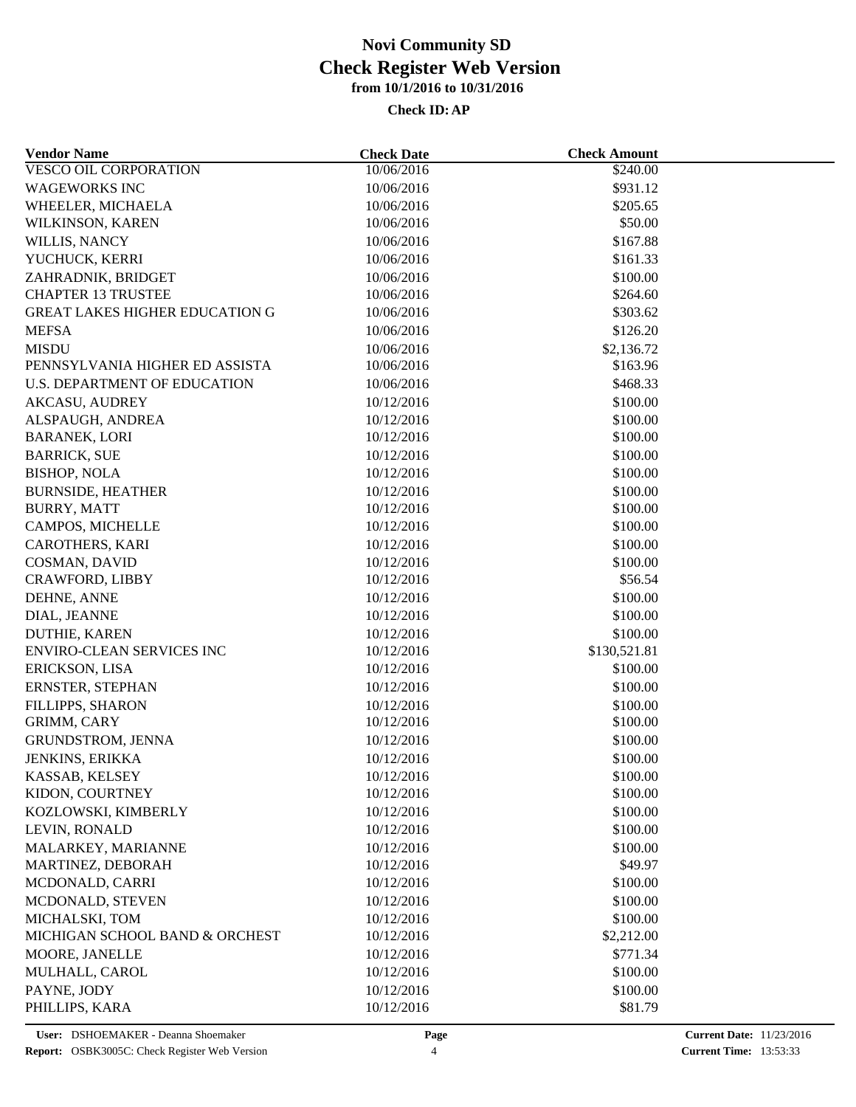| <b>Vendor Name</b>                    | <b>Check Date</b> | <b>Check Amount</b> |  |
|---------------------------------------|-------------------|---------------------|--|
| <b>VESCO OIL CORPORATION</b>          | 10/06/2016        | \$240.00            |  |
| <b>WAGEWORKS INC</b>                  | 10/06/2016        | \$931.12            |  |
| WHEELER, MICHAELA                     | 10/06/2016        | \$205.65            |  |
| WILKINSON, KAREN                      | 10/06/2016        | \$50.00             |  |
| WILLIS, NANCY                         | 10/06/2016        | \$167.88            |  |
| YUCHUCK, KERRI                        | 10/06/2016        | \$161.33            |  |
| ZAHRADNIK, BRIDGET                    | 10/06/2016        | \$100.00            |  |
| <b>CHAPTER 13 TRUSTEE</b>             | 10/06/2016        | \$264.60            |  |
| <b>GREAT LAKES HIGHER EDUCATION G</b> | 10/06/2016        | \$303.62            |  |
| <b>MEFSA</b>                          | 10/06/2016        | \$126.20            |  |
| <b>MISDU</b>                          | 10/06/2016        | \$2,136.72          |  |
| PENNSYLVANIA HIGHER ED ASSISTA        | 10/06/2016        | \$163.96            |  |
| U.S. DEPARTMENT OF EDUCATION          | 10/06/2016        | \$468.33            |  |
| <b>AKCASU, AUDREY</b>                 | 10/12/2016        | \$100.00            |  |
| ALSPAUGH, ANDREA                      | 10/12/2016        | \$100.00            |  |
| <b>BARANEK, LORI</b>                  | 10/12/2016        | \$100.00            |  |
| <b>BARRICK, SUE</b>                   | 10/12/2016        | \$100.00            |  |
| <b>BISHOP, NOLA</b>                   | 10/12/2016        | \$100.00            |  |
| <b>BURNSIDE, HEATHER</b>              | 10/12/2016        | \$100.00            |  |
| <b>BURRY, MATT</b>                    | 10/12/2016        | \$100.00            |  |
| CAMPOS, MICHELLE                      | 10/12/2016        | \$100.00            |  |
| <b>CAROTHERS, KARI</b>                | 10/12/2016        | \$100.00            |  |
| COSMAN, DAVID                         | 10/12/2016        | \$100.00            |  |
| CRAWFORD, LIBBY                       | 10/12/2016        | \$56.54             |  |
| DEHNE, ANNE                           | 10/12/2016        | \$100.00            |  |
| DIAL, JEANNE                          | 10/12/2016        | \$100.00            |  |
| <b>DUTHIE, KAREN</b>                  | 10/12/2016        | \$100.00            |  |
| <b>ENVIRO-CLEAN SERVICES INC</b>      | 10/12/2016        | \$130,521.81        |  |
| ERICKSON, LISA                        | 10/12/2016        | \$100.00            |  |
| ERNSTER, STEPHAN                      | 10/12/2016        | \$100.00            |  |
| FILLIPPS, SHARON                      | 10/12/2016        | \$100.00            |  |
| GRIMM, CARY                           | 10/12/2016        | \$100.00            |  |
| <b>GRUNDSTROM, JENNA</b>              | 10/12/2016        | \$100.00            |  |
| JENKINS, ERIKKA                       | 10/12/2016        | \$100.00            |  |
| KASSAB, KELSEY                        | 10/12/2016        | \$100.00            |  |
| KIDON, COURTNEY                       | 10/12/2016        | \$100.00            |  |
| KOZLOWSKI, KIMBERLY                   | 10/12/2016        | \$100.00            |  |
| LEVIN, RONALD                         | 10/12/2016        | \$100.00            |  |
| MALARKEY, MARIANNE                    | 10/12/2016        | \$100.00            |  |
| MARTINEZ, DEBORAH                     | 10/12/2016        | \$49.97             |  |
| MCDONALD, CARRI                       | 10/12/2016        | \$100.00            |  |
| MCDONALD, STEVEN                      | 10/12/2016        | \$100.00            |  |
| MICHALSKI, TOM                        | 10/12/2016        | \$100.00            |  |
| MICHIGAN SCHOOL BAND & ORCHEST        | 10/12/2016        | \$2,212.00          |  |
| MOORE, JANELLE                        | 10/12/2016        | \$771.34            |  |
| MULHALL, CAROL                        | 10/12/2016        | \$100.00            |  |
| PAYNE, JODY                           | 10/12/2016        | \$100.00            |  |
| PHILLIPS, KARA                        | 10/12/2016        | \$81.79             |  |
|                                       |                   |                     |  |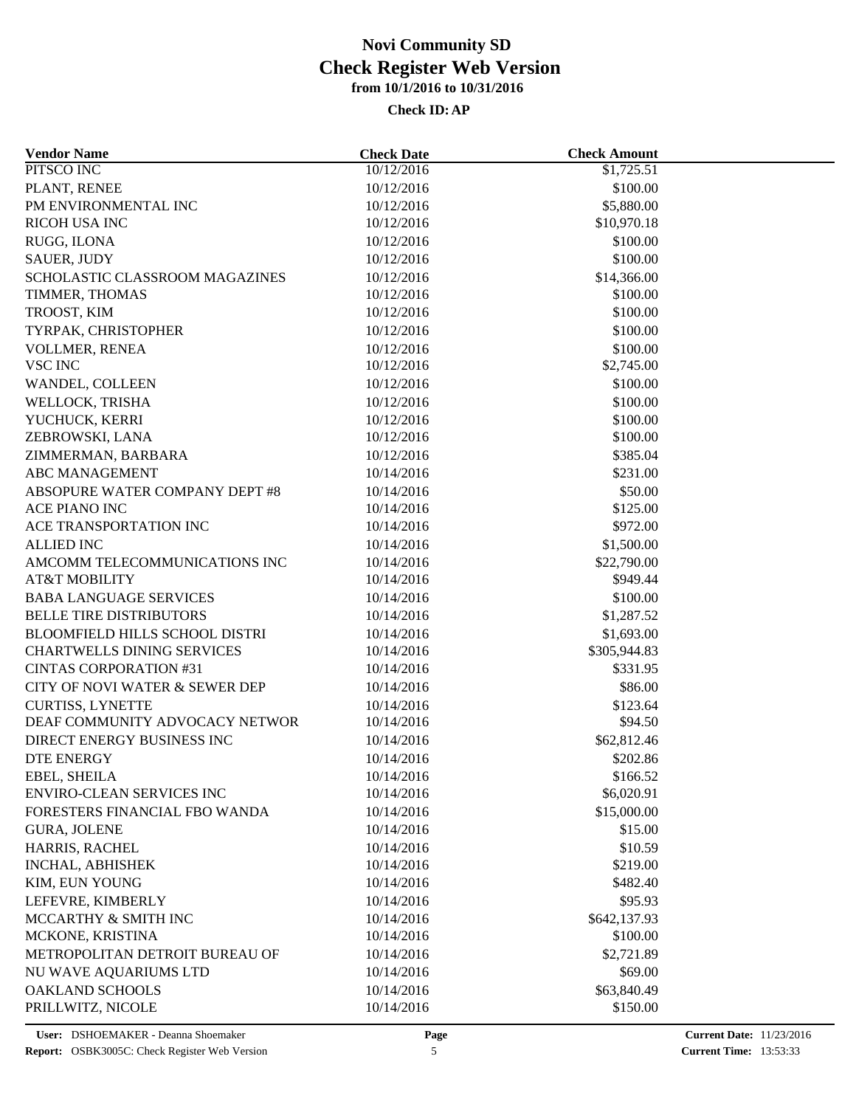| <b>Vendor Name</b>                    | <b>Check Date</b> | <b>Check Amount</b> |  |
|---------------------------------------|-------------------|---------------------|--|
| PITSCO INC                            | 10/12/2016        | \$1,725.51          |  |
| PLANT, RENEE                          | 10/12/2016        | \$100.00            |  |
| PM ENVIRONMENTAL INC                  | 10/12/2016        | \$5,880.00          |  |
| RICOH USA INC                         | 10/12/2016        | \$10,970.18         |  |
| RUGG, ILONA                           | 10/12/2016        | \$100.00            |  |
| <b>SAUER, JUDY</b>                    | 10/12/2016        | \$100.00            |  |
| SCHOLASTIC CLASSROOM MAGAZINES        | 10/12/2016        | \$14,366.00         |  |
| TIMMER, THOMAS                        | 10/12/2016        | \$100.00            |  |
| TROOST, KIM                           | 10/12/2016        | \$100.00            |  |
| TYRPAK, CHRISTOPHER                   | 10/12/2016        | \$100.00            |  |
| VOLLMER, RENEA                        | 10/12/2016        | \$100.00            |  |
| <b>VSC INC</b>                        | 10/12/2016        | \$2,745.00          |  |
| WANDEL, COLLEEN                       | 10/12/2016        | \$100.00            |  |
| WELLOCK, TRISHA                       | 10/12/2016        | \$100.00            |  |
| YUCHUCK, KERRI                        | 10/12/2016        | \$100.00            |  |
| ZEBROWSKI, LANA                       | 10/12/2016        | \$100.00            |  |
| ZIMMERMAN, BARBARA                    | 10/12/2016        | \$385.04            |  |
| <b>ABC MANAGEMENT</b>                 | 10/14/2016        | \$231.00            |  |
| ABSOPURE WATER COMPANY DEPT #8        | 10/14/2016        | \$50.00             |  |
| ACE PIANO INC                         | 10/14/2016        | \$125.00            |  |
| ACE TRANSPORTATION INC                | 10/14/2016        | \$972.00            |  |
| <b>ALLIED INC</b>                     | 10/14/2016        | \$1,500.00          |  |
| AMCOMM TELECOMMUNICATIONS INC         | 10/14/2016        | \$22,790.00         |  |
| <b>AT&amp;T MOBILITY</b>              | 10/14/2016        | \$949.44            |  |
| <b>BABA LANGUAGE SERVICES</b>         | 10/14/2016        | \$100.00            |  |
| <b>BELLE TIRE DISTRIBUTORS</b>        | 10/14/2016        | \$1,287.52          |  |
| <b>BLOOMFIELD HILLS SCHOOL DISTRI</b> | 10/14/2016        | \$1,693.00          |  |
| <b>CHARTWELLS DINING SERVICES</b>     | 10/14/2016        | \$305,944.83        |  |
| <b>CINTAS CORPORATION #31</b>         | 10/14/2016        | \$331.95            |  |
| CITY OF NOVI WATER & SEWER DEP        | 10/14/2016        | \$86.00             |  |
| <b>CURTISS, LYNETTE</b>               | 10/14/2016        | \$123.64            |  |
| DEAF COMMUNITY ADVOCACY NETWOR        | 10/14/2016        | \$94.50             |  |
| DIRECT ENERGY BUSINESS INC            | 10/14/2016        | \$62,812.46         |  |
| <b>DTE ENERGY</b>                     | 10/14/2016        | \$202.86            |  |
| EBEL, SHEILA                          | 10/14/2016        | \$166.52            |  |
| ENVIRO-CLEAN SERVICES INC             | 10/14/2016        | \$6,020.91          |  |
| FORESTERS FINANCIAL FBO WANDA         | 10/14/2016        | \$15,000.00         |  |
| <b>GURA, JOLENE</b>                   | 10/14/2016        | \$15.00             |  |
| HARRIS, RACHEL                        | 10/14/2016        | \$10.59             |  |
| INCHAL, ABHISHEK                      | 10/14/2016        | \$219.00            |  |
| KIM, EUN YOUNG                        | 10/14/2016        | \$482.40            |  |
| LEFEVRE, KIMBERLY                     | 10/14/2016        | \$95.93             |  |
| MCCARTHY & SMITH INC                  | 10/14/2016        | \$642,137.93        |  |
| MCKONE, KRISTINA                      | 10/14/2016        | \$100.00            |  |
| METROPOLITAN DETROIT BUREAU OF        | 10/14/2016        | \$2,721.89          |  |
| NU WAVE AQUARIUMS LTD                 | 10/14/2016        | \$69.00             |  |
| <b>OAKLAND SCHOOLS</b>                | 10/14/2016        | \$63,840.49         |  |
| PRILLWITZ, NICOLE                     | 10/14/2016        | \$150.00            |  |
|                                       |                   |                     |  |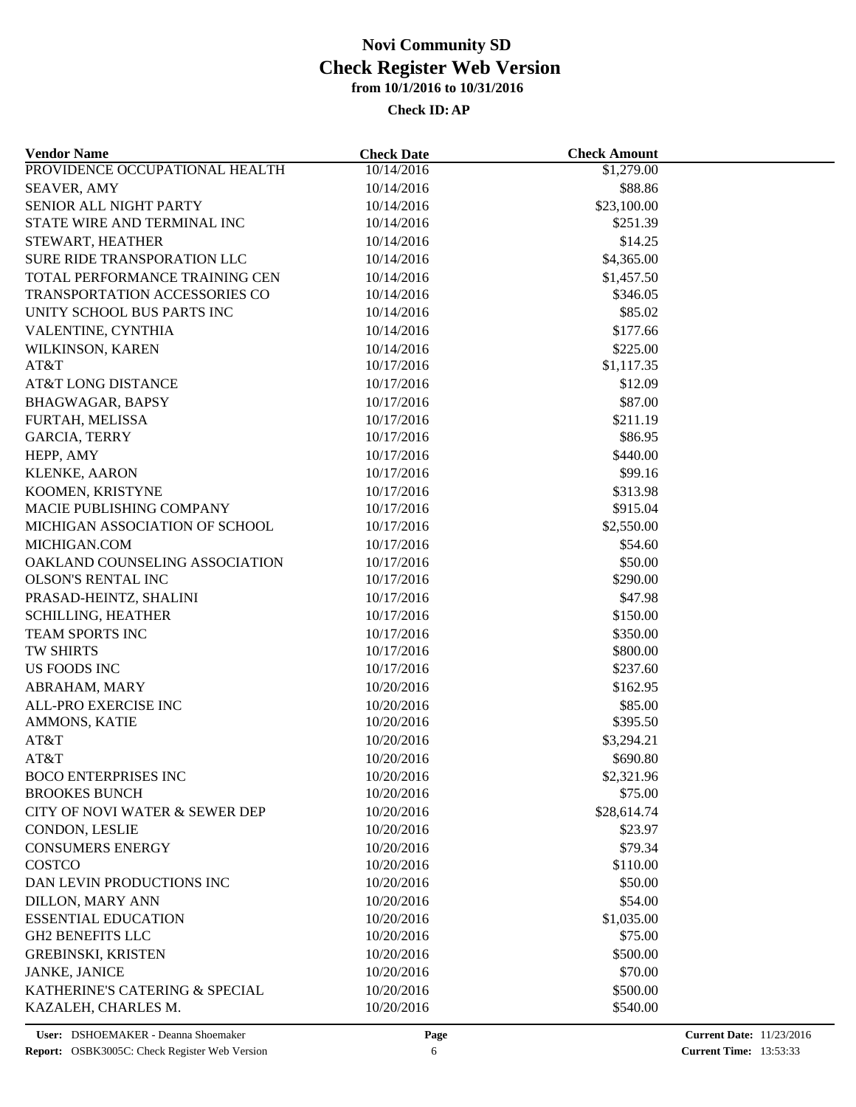| <b>Vendor Name</b>             | <b>Check Date</b> | <b>Check Amount</b>  |  |
|--------------------------------|-------------------|----------------------|--|
| PROVIDENCE OCCUPATIONAL HEALTH | 10/14/2016        | \$1,279.00           |  |
| <b>SEAVER, AMY</b>             | 10/14/2016        | \$88.86              |  |
| SENIOR ALL NIGHT PARTY         | 10/14/2016        | \$23,100.00          |  |
| STATE WIRE AND TERMINAL INC    | 10/14/2016        | \$251.39             |  |
| STEWART, HEATHER               | 10/14/2016        | \$14.25              |  |
| SURE RIDE TRANSPORATION LLC    | 10/14/2016        | \$4,365.00           |  |
| TOTAL PERFORMANCE TRAINING CEN | 10/14/2016        | \$1,457.50           |  |
| TRANSPORTATION ACCESSORIES CO  | 10/14/2016        | \$346.05             |  |
| UNITY SCHOOL BUS PARTS INC     | 10/14/2016        | \$85.02              |  |
| VALENTINE, CYNTHIA             | 10/14/2016        | \$177.66             |  |
| WILKINSON, KAREN               | 10/14/2016        | \$225.00             |  |
| AT&T                           | 10/17/2016        | \$1,117.35           |  |
| AT&T LONG DISTANCE             | 10/17/2016        | \$12.09              |  |
| <b>BHAGWAGAR, BAPSY</b>        | 10/17/2016        | \$87.00              |  |
| FURTAH, MELISSA                | 10/17/2016        | \$211.19             |  |
| <b>GARCIA, TERRY</b>           | 10/17/2016        | \$86.95              |  |
| HEPP, AMY                      | 10/17/2016        | \$440.00             |  |
| <b>KLENKE, AARON</b>           | 10/17/2016        | \$99.16              |  |
| KOOMEN, KRISTYNE               | 10/17/2016        | \$313.98             |  |
| MACIE PUBLISHING COMPANY       | 10/17/2016        | \$915.04             |  |
| MICHIGAN ASSOCIATION OF SCHOOL | 10/17/2016        | \$2,550.00           |  |
| MICHIGAN.COM                   | 10/17/2016        | \$54.60              |  |
| OAKLAND COUNSELING ASSOCIATION | 10/17/2016        | \$50.00              |  |
| OLSON'S RENTAL INC             | 10/17/2016        | \$290.00             |  |
| PRASAD-HEINTZ, SHALINI         | 10/17/2016        | \$47.98              |  |
| <b>SCHILLING, HEATHER</b>      | 10/17/2016        | \$150.00             |  |
|                                |                   |                      |  |
| TEAM SPORTS INC<br>TW SHIRTS   | 10/17/2016        | \$350.00             |  |
|                                | 10/17/2016        | \$800.00<br>\$237.60 |  |
| US FOODS INC                   | 10/17/2016        |                      |  |
| ABRAHAM, MARY                  | 10/20/2016        | \$162.95             |  |
| ALL-PRO EXERCISE INC           | 10/20/2016        | \$85.00              |  |
| AMMONS, KATIE                  | 10/20/2016        | \$395.50             |  |
| AT&T                           | 10/20/2016        | \$3,294.21           |  |
| AT&T                           | 10/20/2016        | \$690.80             |  |
| <b>BOCO ENTERPRISES INC</b>    | 10/20/2016        | \$2,321.96           |  |
| <b>BROOKES BUNCH</b>           | 10/20/2016        | \$75.00              |  |
| CITY OF NOVI WATER & SEWER DEP | 10/20/2016        | \$28,614.74          |  |
| CONDON, LESLIE                 | 10/20/2016        | \$23.97              |  |
| <b>CONSUMERS ENERGY</b>        | 10/20/2016        | \$79.34              |  |
| COSTCO                         | 10/20/2016        | \$110.00             |  |
| DAN LEVIN PRODUCTIONS INC      | 10/20/2016        | \$50.00              |  |
| <b>DILLON, MARY ANN</b>        | 10/20/2016        | \$54.00              |  |
| <b>ESSENTIAL EDUCATION</b>     | 10/20/2016        | \$1,035.00           |  |
| <b>GH2 BENEFITS LLC</b>        | 10/20/2016        | \$75.00              |  |
| <b>GREBINSKI, KRISTEN</b>      | 10/20/2016        | \$500.00             |  |
| <b>JANKE, JANICE</b>           | 10/20/2016        | \$70.00              |  |
| KATHERINE'S CATERING & SPECIAL | 10/20/2016        | \$500.00             |  |
| KAZALEH, CHARLES M.            | 10/20/2016        | \$540.00             |  |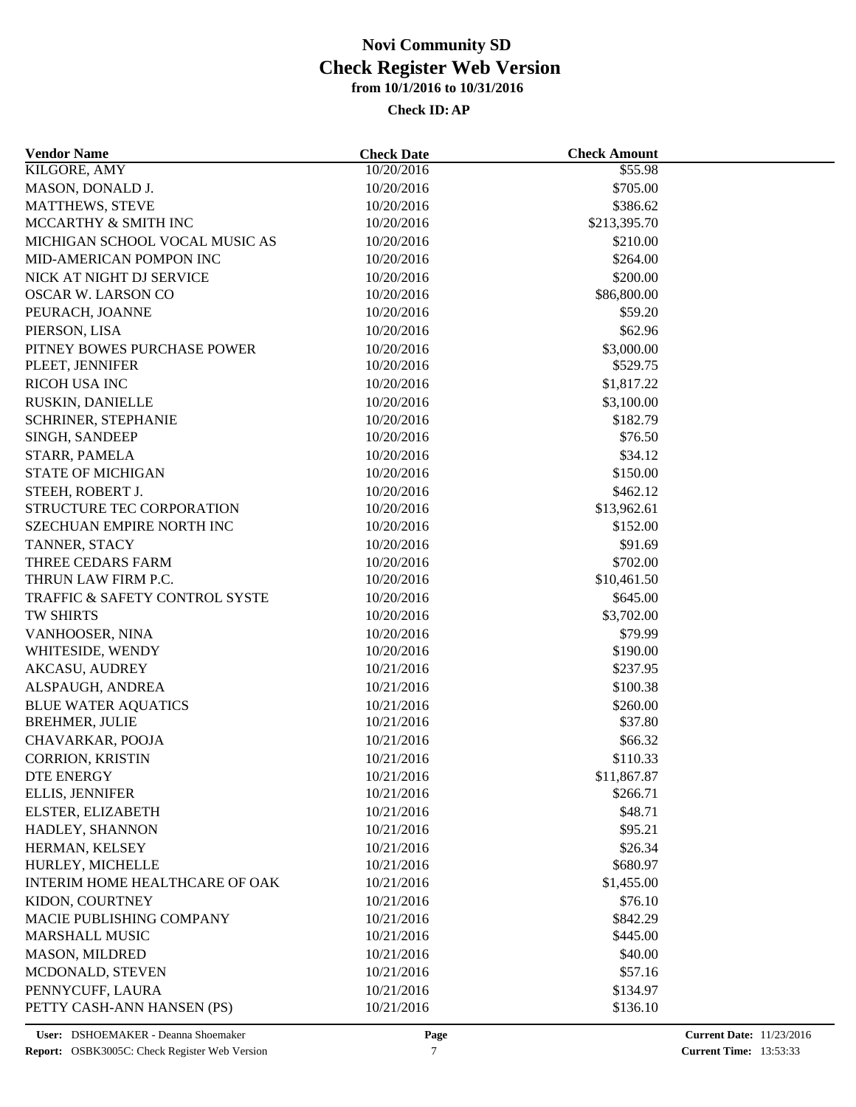| <b>Vendor Name</b>                                  | <b>Check Date</b>        | <b>Check Amount</b> |  |
|-----------------------------------------------------|--------------------------|---------------------|--|
| KILGORE, AMY                                        | 10/20/2016               | \$55.98             |  |
| MASON, DONALD J.                                    | 10/20/2016               | \$705.00            |  |
| MATTHEWS, STEVE                                     | 10/20/2016               | \$386.62            |  |
| MCCARTHY & SMITH INC                                | 10/20/2016               | \$213,395.70        |  |
| MICHIGAN SCHOOL VOCAL MUSIC AS                      | 10/20/2016               | \$210.00            |  |
| MID-AMERICAN POMPON INC                             | 10/20/2016               | \$264.00            |  |
| NICK AT NIGHT DJ SERVICE                            | 10/20/2016               | \$200.00            |  |
| <b>OSCAR W. LARSON CO</b>                           | 10/20/2016               | \$86,800.00         |  |
| PEURACH, JOANNE                                     | 10/20/2016               | \$59.20             |  |
| PIERSON, LISA                                       | 10/20/2016               | \$62.96             |  |
| PITNEY BOWES PURCHASE POWER                         | 10/20/2016               | \$3,000.00          |  |
| PLEET, JENNIFER                                     | 10/20/2016               | \$529.75            |  |
| <b>RICOH USA INC</b>                                | 10/20/2016               | \$1,817.22          |  |
| RUSKIN, DANIELLE                                    | 10/20/2016               | \$3,100.00          |  |
| SCHRINER, STEPHANIE                                 | 10/20/2016               | \$182.79            |  |
| SINGH, SANDEEP                                      | 10/20/2016               | \$76.50             |  |
| STARR, PAMELA                                       | 10/20/2016               | \$34.12             |  |
| <b>STATE OF MICHIGAN</b>                            | 10/20/2016               | \$150.00            |  |
| STEEH, ROBERT J.                                    | 10/20/2016               | \$462.12            |  |
| STRUCTURE TEC CORPORATION                           | 10/20/2016               | \$13,962.61         |  |
| <b>SZECHUAN EMPIRE NORTH INC</b>                    | 10/20/2016               | \$152.00            |  |
| TANNER, STACY                                       | 10/20/2016               | \$91.69             |  |
| THREE CEDARS FARM                                   | 10/20/2016               | \$702.00            |  |
| THRUN LAW FIRM P.C.                                 | 10/20/2016               | \$10,461.50         |  |
| TRAFFIC & SAFETY CONTROL SYSTE                      | 10/20/2016               | \$645.00            |  |
| TW SHIRTS                                           | 10/20/2016               | \$3,702.00          |  |
| VANHOOSER, NINA                                     | 10/20/2016               | \$79.99             |  |
| WHITESIDE, WENDY                                    | 10/20/2016               | \$190.00            |  |
| <b>AKCASU, AUDREY</b>                               | 10/21/2016               | \$237.95            |  |
| ALSPAUGH, ANDREA                                    | 10/21/2016               | \$100.38            |  |
|                                                     |                          |                     |  |
| <b>BLUE WATER AQUATICS</b><br><b>BREHMER, JULIE</b> | 10/21/2016<br>10/21/2016 | \$260.00<br>\$37.80 |  |
| CHAVARKAR, POOJA                                    |                          | \$66.32             |  |
| <b>CORRION, KRISTIN</b>                             | 10/21/2016               |                     |  |
|                                                     | 10/21/2016               | \$110.33            |  |
| DTE ENERGY                                          | 10/21/2016               | \$11,867.87         |  |
| ELLIS, JENNIFER                                     | 10/21/2016               | \$266.71            |  |
| ELSTER, ELIZABETH                                   | 10/21/2016               | \$48.71             |  |
| HADLEY, SHANNON                                     | 10/21/2016               | \$95.21             |  |
| HERMAN, KELSEY                                      | 10/21/2016               | \$26.34             |  |
| HURLEY, MICHELLE                                    | 10/21/2016               | \$680.97            |  |
| INTERIM HOME HEALTHCARE OF OAK                      | 10/21/2016               | \$1,455.00          |  |
| KIDON, COURTNEY                                     | 10/21/2016               | \$76.10             |  |
| MACIE PUBLISHING COMPANY                            | 10/21/2016               | \$842.29            |  |
| MARSHALL MUSIC                                      | 10/21/2016               | \$445.00            |  |
| <b>MASON, MILDRED</b>                               | 10/21/2016               | \$40.00             |  |
| MCDONALD, STEVEN                                    | 10/21/2016               | \$57.16             |  |
| PENNYCUFF, LAURA                                    | 10/21/2016               | \$134.97            |  |
| PETTY CASH-ANN HANSEN (PS)                          | 10/21/2016               | \$136.10            |  |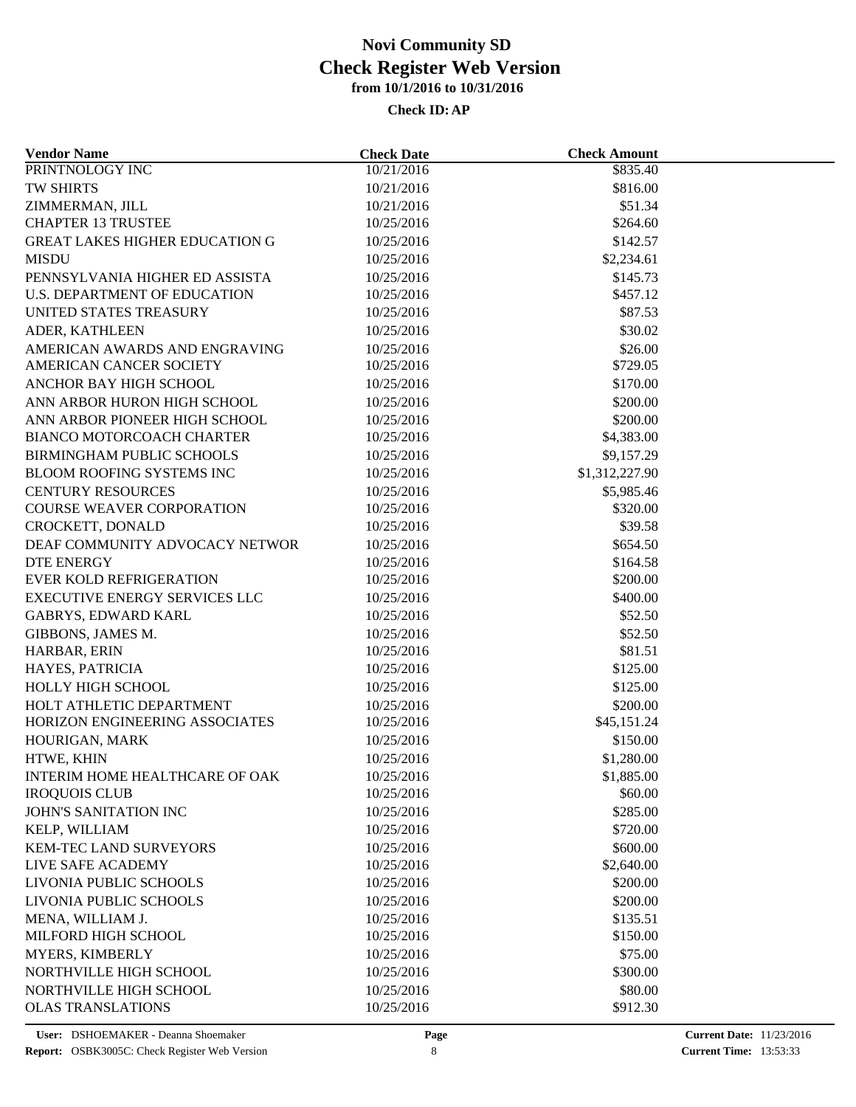| <b>Vendor Name</b>                           | <b>Check Date</b>        | <b>Check Amount</b>  |  |
|----------------------------------------------|--------------------------|----------------------|--|
| PRINTNOLOGY INC                              | 10/21/2016               | $\overline{$835.40}$ |  |
| TW SHIRTS                                    | 10/21/2016               | \$816.00             |  |
| ZIMMERMAN, JILL                              | 10/21/2016               | \$51.34              |  |
| <b>CHAPTER 13 TRUSTEE</b>                    | 10/25/2016               | \$264.60             |  |
| <b>GREAT LAKES HIGHER EDUCATION G</b>        | 10/25/2016               | \$142.57             |  |
| <b>MISDU</b>                                 | 10/25/2016               | \$2,234.61           |  |
| PENNSYLVANIA HIGHER ED ASSISTA               | 10/25/2016               | \$145.73             |  |
| <b>U.S. DEPARTMENT OF EDUCATION</b>          | 10/25/2016               | \$457.12             |  |
| UNITED STATES TREASURY                       | 10/25/2016               | \$87.53              |  |
| ADER, KATHLEEN                               | 10/25/2016               | \$30.02              |  |
| AMERICAN AWARDS AND ENGRAVING                | 10/25/2016               | \$26.00              |  |
| AMERICAN CANCER SOCIETY                      | 10/25/2016               | \$729.05             |  |
| ANCHOR BAY HIGH SCHOOL                       | 10/25/2016               | \$170.00             |  |
| ANN ARBOR HURON HIGH SCHOOL                  | 10/25/2016               | \$200.00             |  |
| ANN ARBOR PIONEER HIGH SCHOOL                | 10/25/2016               | \$200.00             |  |
| BIANCO MOTORCOACH CHARTER                    | 10/25/2016               | \$4,383.00           |  |
| <b>BIRMINGHAM PUBLIC SCHOOLS</b>             | 10/25/2016               | \$9,157.29           |  |
| BLOOM ROOFING SYSTEMS INC                    | 10/25/2016               | \$1,312,227.90       |  |
| <b>CENTURY RESOURCES</b>                     | 10/25/2016               | \$5,985.46           |  |
| <b>COURSE WEAVER CORPORATION</b>             | 10/25/2016               | \$320.00             |  |
| CROCKETT, DONALD                             | 10/25/2016               | \$39.58              |  |
| DEAF COMMUNITY ADVOCACY NETWOR               | 10/25/2016               | \$654.50             |  |
|                                              |                          | \$164.58             |  |
| <b>DTE ENERGY</b><br>EVER KOLD REFRIGERATION | 10/25/2016<br>10/25/2016 | \$200.00             |  |
| EXECUTIVE ENERGY SERVICES LLC                |                          |                      |  |
|                                              | 10/25/2016               | \$400.00             |  |
| <b>GABRYS, EDWARD KARL</b>                   | 10/25/2016               | \$52.50              |  |
| GIBBONS, JAMES M.                            | 10/25/2016               | \$52.50              |  |
| HARBAR, ERIN                                 | 10/25/2016               | \$81.51              |  |
| HAYES, PATRICIA                              | 10/25/2016               | \$125.00             |  |
| HOLLY HIGH SCHOOL                            | 10/25/2016               | \$125.00             |  |
| HOLT ATHLETIC DEPARTMENT                     | 10/25/2016               | \$200.00             |  |
| HORIZON ENGINEERING ASSOCIATES               | 10/25/2016               | \$45,151.24          |  |
| HOURIGAN, MARK                               | 10/25/2016               | \$150.00             |  |
| HTWE, KHIN                                   | 10/25/2016               | \$1,280.00           |  |
| INTERIM HOME HEALTHCARE OF OAK               | 10/25/2016               | \$1,885.00           |  |
| <b>IROQUOIS CLUB</b>                         | 10/25/2016               | \$60.00              |  |
| JOHN'S SANITATION INC                        | 10/25/2016               | \$285.00             |  |
| KELP, WILLIAM                                | 10/25/2016               | \$720.00             |  |
| <b>KEM-TEC LAND SURVEYORS</b>                | 10/25/2016               | \$600.00             |  |
| LIVE SAFE ACADEMY                            | 10/25/2016               | \$2,640.00           |  |
| LIVONIA PUBLIC SCHOOLS                       | 10/25/2016               | \$200.00             |  |
| LIVONIA PUBLIC SCHOOLS                       | 10/25/2016               | \$200.00             |  |
| MENA, WILLIAM J.                             | 10/25/2016               | \$135.51             |  |
| MILFORD HIGH SCHOOL                          | 10/25/2016               | \$150.00             |  |
| MYERS, KIMBERLY                              | 10/25/2016               | \$75.00              |  |
| NORTHVILLE HIGH SCHOOL                       | 10/25/2016               | \$300.00             |  |
| NORTHVILLE HIGH SCHOOL                       | 10/25/2016               | \$80.00              |  |
| <b>OLAS TRANSLATIONS</b>                     | 10/25/2016               | \$912.30             |  |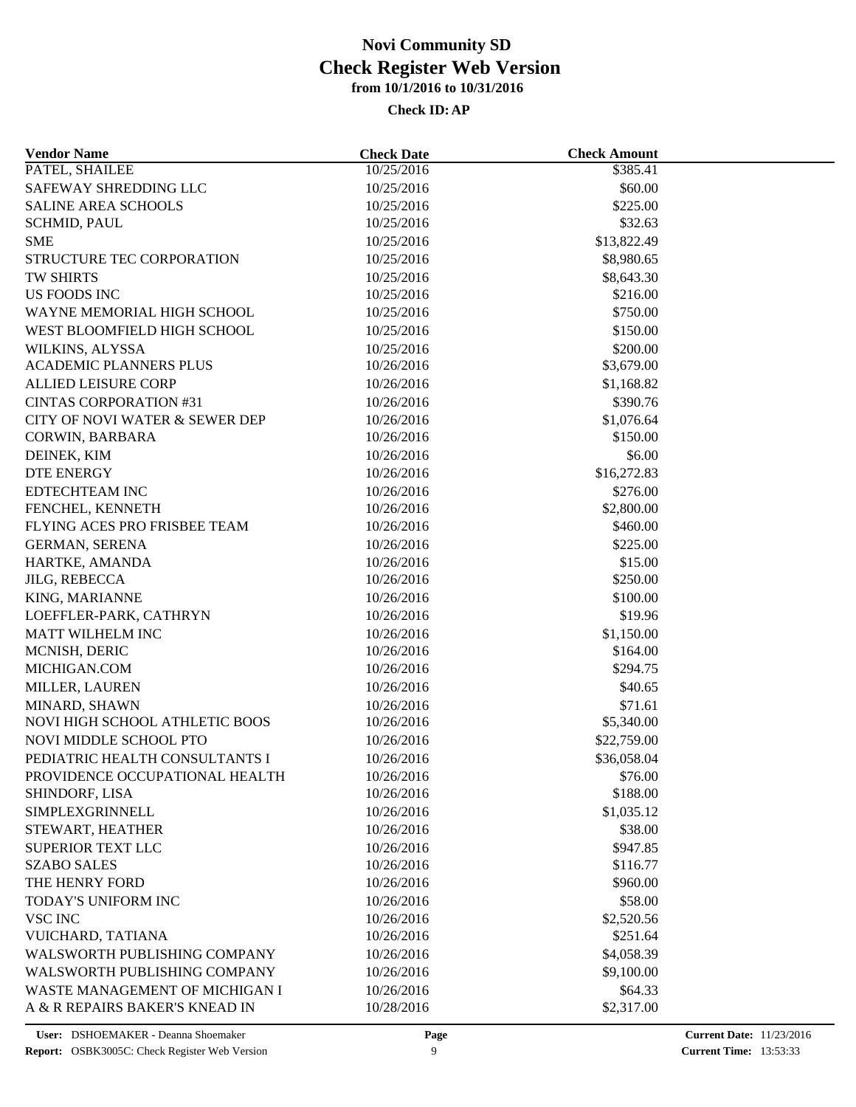| <b>Vendor Name</b>                    | <b>Check Date</b>        | <b>Check Amount</b> |  |
|---------------------------------------|--------------------------|---------------------|--|
| PATEL, SHAILEE                        | 10/25/2016               | \$385.41            |  |
| SAFEWAY SHREDDING LLC                 | 10/25/2016               | \$60.00             |  |
| <b>SALINE AREA SCHOOLS</b>            | 10/25/2016               | \$225.00            |  |
| <b>SCHMID, PAUL</b>                   | 10/25/2016               | \$32.63             |  |
| <b>SME</b>                            | 10/25/2016               | \$13,822.49         |  |
| STRUCTURE TEC CORPORATION             | 10/25/2016               | \$8,980.65          |  |
| <b>TW SHIRTS</b>                      | 10/25/2016               | \$8,643.30          |  |
| US FOODS INC                          | 10/25/2016               | \$216.00            |  |
| WAYNE MEMORIAL HIGH SCHOOL            | 10/25/2016               | \$750.00            |  |
| WEST BLOOMFIELD HIGH SCHOOL           | 10/25/2016               | \$150.00            |  |
| WILKINS, ALYSSA                       | 10/25/2016               | \$200.00            |  |
| ACADEMIC PLANNERS PLUS                | 10/26/2016               | \$3,679.00          |  |
| <b>ALLIED LEISURE CORP</b>            | 10/26/2016               | \$1,168.82          |  |
| <b>CINTAS CORPORATION #31</b>         | 10/26/2016               | \$390.76            |  |
| CITY OF NOVI WATER & SEWER DEP        | 10/26/2016               | \$1,076.64          |  |
| CORWIN, BARBARA                       | 10/26/2016               | \$150.00            |  |
| DEINEK, KIM                           | 10/26/2016               | \$6.00              |  |
| <b>DTE ENERGY</b>                     | 10/26/2016               | \$16,272.83         |  |
| EDTECHTEAM INC                        | 10/26/2016               | \$276.00            |  |
| FENCHEL, KENNETH                      | 10/26/2016               | \$2,800.00          |  |
| FLYING ACES PRO FRISBEE TEAM          | 10/26/2016               | \$460.00            |  |
| <b>GERMAN, SERENA</b>                 | 10/26/2016               | \$225.00            |  |
| HARTKE, AMANDA                        | 10/26/2016               | \$15.00             |  |
| <b>JILG, REBECCA</b>                  | 10/26/2016               | \$250.00            |  |
| KING, MARIANNE                        | 10/26/2016               | \$100.00            |  |
| LOEFFLER-PARK, CATHRYN                | 10/26/2016               | \$19.96             |  |
| MATT WILHELM INC                      | 10/26/2016               | \$1,150.00          |  |
| MCNISH, DERIC                         | 10/26/2016               | \$164.00            |  |
| MICHIGAN.COM                          | 10/26/2016               | \$294.75            |  |
| MILLER, LAUREN                        | 10/26/2016               | \$40.65             |  |
| MINARD, SHAWN                         | 10/26/2016               | \$71.61             |  |
| NOVI HIGH SCHOOL ATHLETIC BOOS        | 10/26/2016               | \$5,340.00          |  |
| NOVI MIDDLE SCHOOL PTO                | 10/26/2016               | \$22,759.00         |  |
| PEDIATRIC HEALTH CONSULTANTS I        | 10/26/2016               | \$36,058.04         |  |
| PROVIDENCE OCCUPATIONAL HEALTH        | 10/26/2016               | \$76.00             |  |
| SHINDORF, LISA                        | 10/26/2016               | \$188.00            |  |
| SIMPLEXGRINNELL                       | 10/26/2016               | \$1,035.12          |  |
| STEWART, HEATHER                      | 10/26/2016               | \$38.00             |  |
| <b>SUPERIOR TEXT LLC</b>              | 10/26/2016               | \$947.85            |  |
| <b>SZABO SALES</b>                    | 10/26/2016               | \$116.77            |  |
| THE HENRY FORD                        | 10/26/2016               | \$960.00            |  |
| TODAY'S UNIFORM INC                   | 10/26/2016               | \$58.00             |  |
| <b>VSC INC</b>                        | 10/26/2016               | \$2,520.56          |  |
| VUICHARD, TATIANA                     | 10/26/2016               | \$251.64            |  |
| WALSWORTH PUBLISHING COMPANY          | 10/26/2016               | \$4,058.39          |  |
| WALSWORTH PUBLISHING COMPANY          | 10/26/2016               | \$9,100.00          |  |
| <b>WASTE MANAGEMENT OF MICHIGAN I</b> |                          | \$64.33             |  |
| A & R REPAIRS BAKER'S KNEAD IN        | 10/26/2016<br>10/28/2016 | \$2,317.00          |  |
|                                       |                          |                     |  |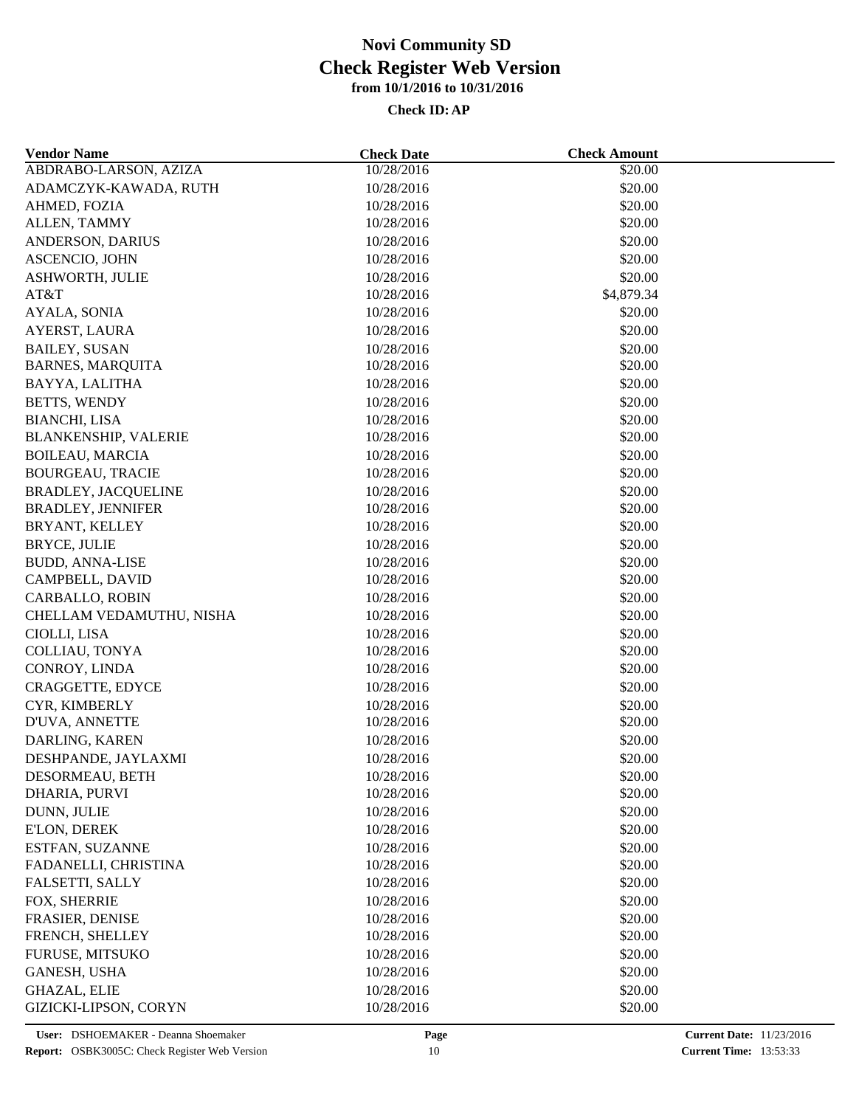| <b>Vendor Name</b>          | <b>Check Date</b> | <b>Check Amount</b> |  |
|-----------------------------|-------------------|---------------------|--|
| ABDRABO-LARSON, AZIZA       | 10/28/2016        | \$20.00             |  |
| ADAMCZYK-KAWADA, RUTH       | 10/28/2016        | \$20.00             |  |
| AHMED, FOZIA                | 10/28/2016        | \$20.00             |  |
| ALLEN, TAMMY                | 10/28/2016        | \$20.00             |  |
| ANDERSON, DARIUS            | 10/28/2016        | \$20.00             |  |
| <b>ASCENCIO, JOHN</b>       | 10/28/2016        | \$20.00             |  |
| ASHWORTH, JULIE             | 10/28/2016        | \$20.00             |  |
| AT&T                        | 10/28/2016        | \$4,879.34          |  |
| AYALA, SONIA                | 10/28/2016        | \$20.00             |  |
| AYERST, LAURA               | 10/28/2016        | \$20.00             |  |
| <b>BAILEY, SUSAN</b>        | 10/28/2016        | \$20.00             |  |
| <b>BARNES, MARQUITA</b>     | 10/28/2016        | \$20.00             |  |
| BAYYA, LALITHA              | 10/28/2016        | \$20.00             |  |
| BETTS, WENDY                | 10/28/2016        | \$20.00             |  |
| <b>BIANCHI, LISA</b>        | 10/28/2016        | \$20.00             |  |
| <b>BLANKENSHIP, VALERIE</b> | 10/28/2016        | \$20.00             |  |
| <b>BOILEAU, MARCIA</b>      | 10/28/2016        | \$20.00             |  |
| <b>BOURGEAU, TRACIE</b>     | 10/28/2016        | \$20.00             |  |
| <b>BRADLEY, JACQUELINE</b>  | 10/28/2016        | \$20.00             |  |
| <b>BRADLEY, JENNIFER</b>    | 10/28/2016        | \$20.00             |  |
| BRYANT, KELLEY              | 10/28/2016        | \$20.00             |  |
| <b>BRYCE, JULIE</b>         | 10/28/2016        | \$20.00             |  |
| <b>BUDD, ANNA-LISE</b>      | 10/28/2016        | \$20.00             |  |
| CAMPBELL, DAVID             | 10/28/2016        | \$20.00             |  |
| CARBALLO, ROBIN             | 10/28/2016        | \$20.00             |  |
| CHELLAM VEDAMUTHU, NISHA    | 10/28/2016        | \$20.00             |  |
| CIOLLI, LISA                | 10/28/2016        | \$20.00             |  |
| COLLIAU, TONYA              | 10/28/2016        | \$20.00             |  |
| CONROY, LINDA               | 10/28/2016        | \$20.00             |  |
|                             |                   |                     |  |
| CRAGGETTE, EDYCE            | 10/28/2016        | \$20.00             |  |
| CYR, KIMBERLY               | 10/28/2016        | \$20.00             |  |
| D'UVA, ANNETTE              | 10/28/2016        | \$20.00             |  |
| DARLING, KAREN              | 10/28/2016        | \$20.00             |  |
| DESHPANDE, JAYLAXMI         | 10/28/2016        | \$20.00             |  |
| DESORMEAU, BETH             | 10/28/2016        | \$20.00             |  |
| DHARIA, PURVI               | 10/28/2016        | \$20.00             |  |
| DUNN, JULIE                 | 10/28/2016        | \$20.00             |  |
| E'LON, DEREK                | 10/28/2016        | \$20.00             |  |
| ESTFAN, SUZANNE             | 10/28/2016        | \$20.00             |  |
| FADANELLI, CHRISTINA        | 10/28/2016        | \$20.00             |  |
| FALSETTI, SALLY             | 10/28/2016        | \$20.00             |  |
| FOX, SHERRIE                | 10/28/2016        | \$20.00             |  |
| FRASIER, DENISE             | 10/28/2016        | \$20.00             |  |
| FRENCH, SHELLEY             | 10/28/2016        | \$20.00             |  |
| FURUSE, MITSUKO             | 10/28/2016        | \$20.00             |  |
| <b>GANESH, USHA</b>         | 10/28/2016        | \$20.00             |  |
| <b>GHAZAL, ELIE</b>         | 10/28/2016        | \$20.00             |  |
| GIZICKI-LIPSON, CORYN       | 10/28/2016        | \$20.00             |  |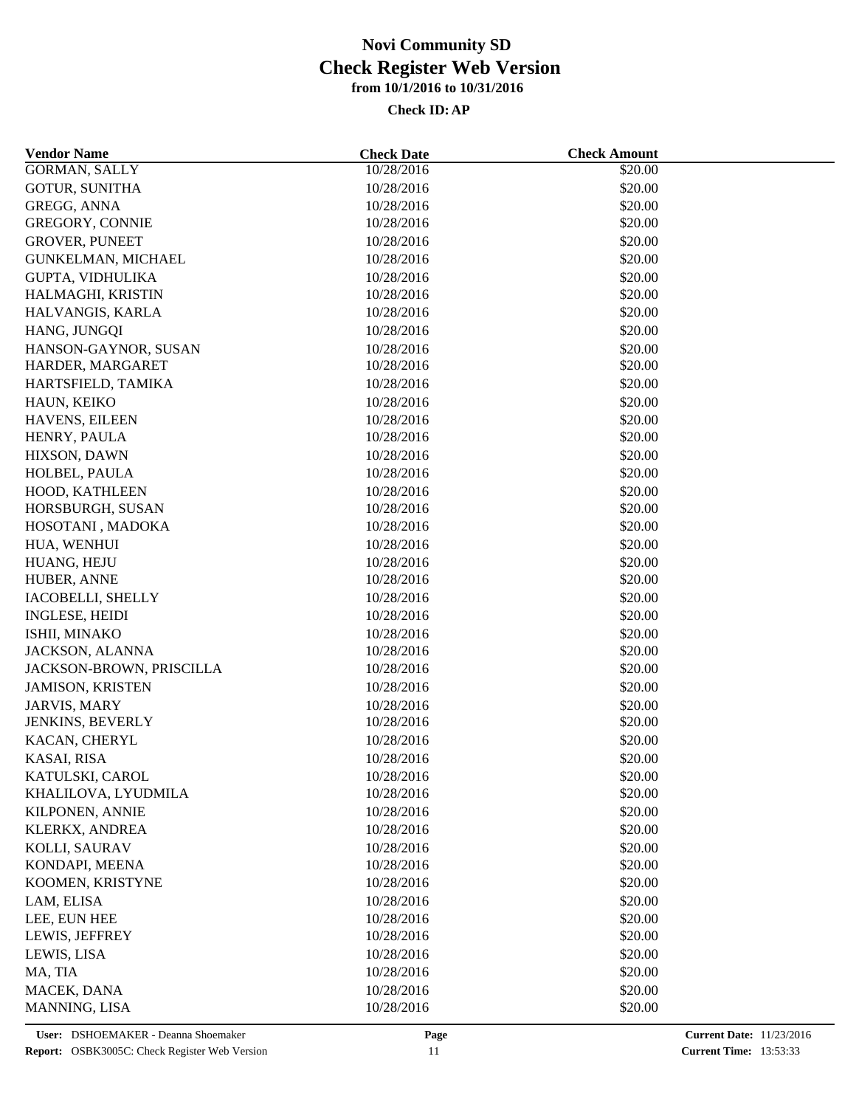| <b>Vendor Name</b>                     | <b>Check Date</b> | <b>Check Amount</b> |  |
|----------------------------------------|-------------------|---------------------|--|
| <b>GORMAN, SALLY</b>                   | 10/28/2016        | \$20.00             |  |
| <b>GOTUR, SUNITHA</b>                  | 10/28/2016        | \$20.00             |  |
| GREGG, ANNA                            | 10/28/2016        | \$20.00             |  |
| GREGORY, CONNIE                        | 10/28/2016        | \$20.00             |  |
| <b>GROVER, PUNEET</b>                  | 10/28/2016        | \$20.00             |  |
| GUNKELMAN, MICHAEL                     | 10/28/2016        | \$20.00             |  |
| GUPTA, VIDHULIKA                       | 10/28/2016        | \$20.00             |  |
| HALMAGHI, KRISTIN                      | 10/28/2016        | \$20.00             |  |
| HALVANGIS, KARLA                       | 10/28/2016        | \$20.00             |  |
| HANG, JUNGQI                           | 10/28/2016        | \$20.00             |  |
| HANSON-GAYNOR, SUSAN                   | 10/28/2016        | \$20.00             |  |
| HARDER, MARGARET                       | 10/28/2016        | \$20.00             |  |
| HARTSFIELD, TAMIKA                     | 10/28/2016        | \$20.00             |  |
| HAUN, KEIKO                            | 10/28/2016        | \$20.00             |  |
| HAVENS, EILEEN                         | 10/28/2016        | \$20.00             |  |
| HENRY, PAULA                           | 10/28/2016        | \$20.00             |  |
| HIXSON, DAWN                           | 10/28/2016        | \$20.00             |  |
| HOLBEL, PAULA                          | 10/28/2016        | \$20.00             |  |
| HOOD, KATHLEEN                         | 10/28/2016        | \$20.00             |  |
| HORSBURGH, SUSAN                       | 10/28/2016        | \$20.00             |  |
| HOSOTANI, MADOKA                       | 10/28/2016        | \$20.00             |  |
| HUA, WENHUI                            | 10/28/2016        | \$20.00             |  |
| HUANG, HEJU                            | 10/28/2016        | \$20.00             |  |
| HUBER, ANNE                            | 10/28/2016        | \$20.00             |  |
| IACOBELLI, SHELLY                      | 10/28/2016        | \$20.00             |  |
| <b>INGLESE, HEIDI</b>                  | 10/28/2016        | \$20.00             |  |
| ISHII, MINAKO                          | 10/28/2016        | \$20.00             |  |
| JACKSON, ALANNA                        | 10/28/2016        | \$20.00             |  |
| JACKSON-BROWN, PRISCILLA               | 10/28/2016        | \$20.00             |  |
| <b>JAMISON, KRISTEN</b>                | 10/28/2016        | \$20.00             |  |
| JARVIS, MARY                           | 10/28/2016        | \$20.00             |  |
| JENKINS, BEVERLY                       | 10/28/2016        | \$20.00             |  |
| KACAN, CHERYL                          | 10/28/2016        | \$20.00             |  |
| KASAI, RISA                            | 10/28/2016        | \$20.00             |  |
|                                        |                   |                     |  |
| KATULSKI, CAROL                        | 10/28/2016        | \$20.00<br>\$20.00  |  |
| KHALILOVA, LYUDMILA<br>KILPONEN, ANNIE | 10/28/2016        | \$20.00             |  |
|                                        | 10/28/2016        |                     |  |
| KLERKX, ANDREA                         | 10/28/2016        | \$20.00             |  |
| KOLLI, SAURAV                          | 10/28/2016        | \$20.00             |  |
| KONDAPI, MEENA                         | 10/28/2016        | \$20.00             |  |
| KOOMEN, KRISTYNE                       | 10/28/2016        | \$20.00             |  |
| LAM, ELISA                             | 10/28/2016        | \$20.00             |  |
| LEE, EUN HEE                           | 10/28/2016        | \$20.00             |  |
| LEWIS, JEFFREY                         | 10/28/2016        | \$20.00             |  |
| LEWIS, LISA                            | 10/28/2016        | \$20.00             |  |
| MA, TIA                                | 10/28/2016        | \$20.00             |  |
| MACEK, DANA                            | 10/28/2016        | \$20.00             |  |
| MANNING, LISA                          | 10/28/2016        | \$20.00             |  |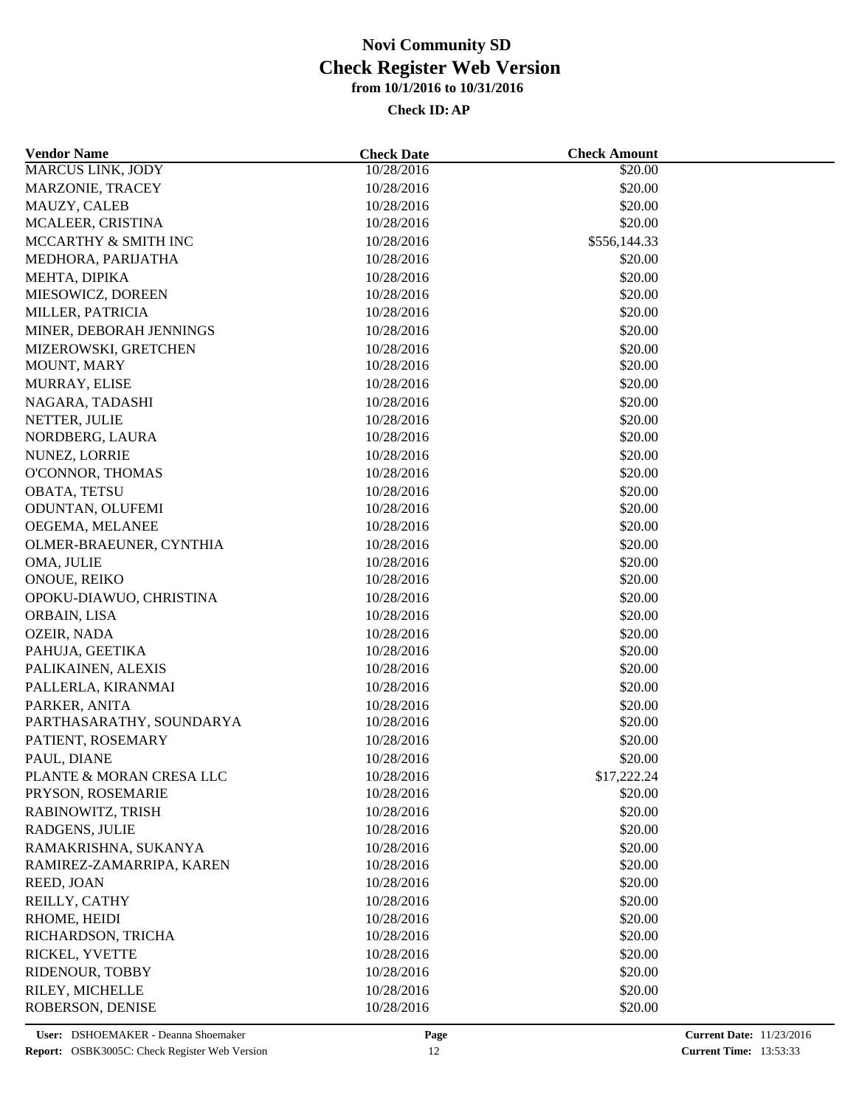| <b>Vendor Name</b>       | <b>Check Date</b> | <b>Check Amount</b> |  |
|--------------------------|-------------------|---------------------|--|
| <b>MARCUS LINK, JODY</b> | 10/28/2016        | \$20.00             |  |
| MARZONIE, TRACEY         | 10/28/2016        | \$20.00             |  |
| MAUZY, CALEB             | 10/28/2016        | \$20.00             |  |
| MCALEER, CRISTINA        | 10/28/2016        | \$20.00             |  |
| MCCARTHY & SMITH INC     | 10/28/2016        | \$556,144.33        |  |
| MEDHORA, PARIJATHA       | 10/28/2016        | \$20.00             |  |
| MEHTA, DIPIKA            | 10/28/2016        | \$20.00             |  |
| MIESOWICZ, DOREEN        | 10/28/2016        | \$20.00             |  |
| MILLER, PATRICIA         | 10/28/2016        | \$20.00             |  |
| MINER, DEBORAH JENNINGS  | 10/28/2016        | \$20.00             |  |
| MIZEROWSKI, GRETCHEN     | 10/28/2016        | \$20.00             |  |
| MOUNT, MARY              | 10/28/2016        | \$20.00             |  |
| MURRAY, ELISE            | 10/28/2016        | \$20.00             |  |
| NAGARA, TADASHI          | 10/28/2016        | \$20.00             |  |
| NETTER, JULIE            | 10/28/2016        | \$20.00             |  |
| NORDBERG, LAURA          | 10/28/2016        | \$20.00             |  |
| NUNEZ, LORRIE            | 10/28/2016        | \$20.00             |  |
| O'CONNOR, THOMAS         | 10/28/2016        | \$20.00             |  |
| OBATA, TETSU             | 10/28/2016        | \$20.00             |  |
| ODUNTAN, OLUFEMI         | 10/28/2016        | \$20.00             |  |
| OEGEMA, MELANEE          | 10/28/2016        | \$20.00             |  |
| OLMER-BRAEUNER, CYNTHIA  | 10/28/2016        | \$20.00             |  |
|                          |                   |                     |  |
| OMA, JULIE               | 10/28/2016        | \$20.00<br>\$20.00  |  |
| ONOUE, REIKO             | 10/28/2016        |                     |  |
| OPOKU-DIAWUO, CHRISTINA  | 10/28/2016        | \$20.00             |  |
| ORBAIN, LISA             | 10/28/2016        | \$20.00             |  |
| OZEIR, NADA              | 10/28/2016        | \$20.00             |  |
| PAHUJA, GEETIKA          | 10/28/2016        | \$20.00             |  |
| PALIKAINEN, ALEXIS       | 10/28/2016        | \$20.00             |  |
| PALLERLA, KIRANMAI       | 10/28/2016        | \$20.00             |  |
| PARKER, ANITA            | 10/28/2016        | \$20.00             |  |
| PARTHASARATHY, SOUNDARYA | 10/28/2016        | \$20.00             |  |
| PATIENT, ROSEMARY        | 10/28/2016        | \$20.00             |  |
| PAUL, DIANE              | 10/28/2016        | \$20.00             |  |
| PLANTE & MORAN CRESA LLC | 10/28/2016        | \$17,222.24         |  |
| PRYSON, ROSEMARIE        | 10/28/2016        | \$20.00             |  |
| RABINOWITZ, TRISH        | 10/28/2016        | \$20.00             |  |
| RADGENS, JULIE           | 10/28/2016        | \$20.00             |  |
| RAMAKRISHNA, SUKANYA     | 10/28/2016        | \$20.00             |  |
| RAMIREZ-ZAMARRIPA, KAREN | 10/28/2016        | \$20.00             |  |
| REED, JOAN               | 10/28/2016        | \$20.00             |  |
| REILLY, CATHY            | 10/28/2016        | \$20.00             |  |
| RHOME, HEIDI             | 10/28/2016        | \$20.00             |  |
| RICHARDSON, TRICHA       | 10/28/2016        | \$20.00             |  |
| RICKEL, YVETTE           | 10/28/2016        | \$20.00             |  |
| RIDENOUR, TOBBY          | 10/28/2016        | \$20.00             |  |
| RILEY, MICHELLE          | 10/28/2016        | \$20.00             |  |
| ROBERSON, DENISE         | 10/28/2016        | \$20.00             |  |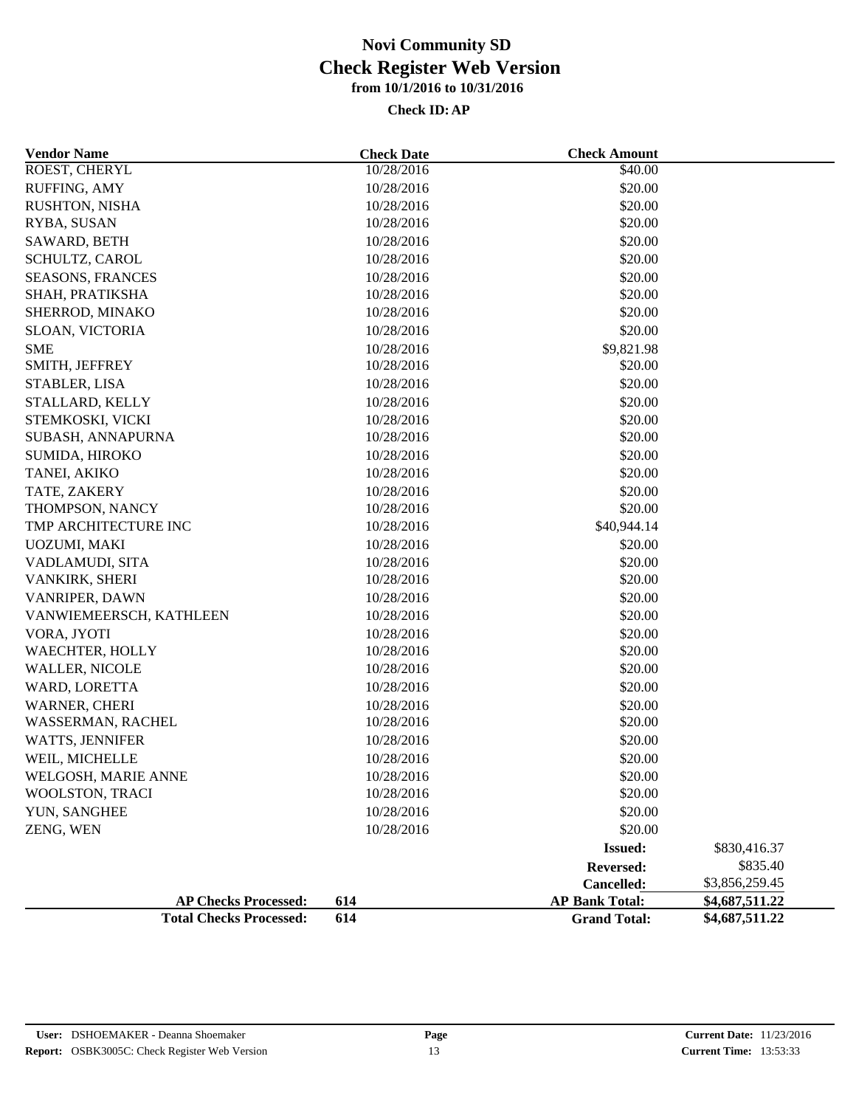| <b>Vendor Name</b>             | <b>Check Date</b> | <b>Check Amount</b>   |                |
|--------------------------------|-------------------|-----------------------|----------------|
| ROEST, CHERYL                  | 10/28/2016        | \$40.00               |                |
| RUFFING, AMY                   | 10/28/2016        | \$20.00               |                |
| RUSHTON, NISHA                 | 10/28/2016        | \$20.00               |                |
| RYBA, SUSAN                    | 10/28/2016        | \$20.00               |                |
| SAWARD, BETH                   | 10/28/2016        | \$20.00               |                |
| SCHULTZ, CAROL                 | 10/28/2016        | \$20.00               |                |
| <b>SEASONS, FRANCES</b>        | 10/28/2016        | \$20.00               |                |
| SHAH, PRATIKSHA                | 10/28/2016        | \$20.00               |                |
| SHERROD, MINAKO                | 10/28/2016        | \$20.00               |                |
| SLOAN, VICTORIA                | 10/28/2016        | \$20.00               |                |
| <b>SME</b>                     | 10/28/2016        | \$9,821.98            |                |
| SMITH, JEFFREY                 | 10/28/2016        | \$20.00               |                |
| STABLER, LISA                  | 10/28/2016        | \$20.00               |                |
| STALLARD, KELLY                | 10/28/2016        | \$20.00               |                |
| STEMKOSKI, VICKI               | 10/28/2016        | \$20.00               |                |
| SUBASH, ANNAPURNA              | 10/28/2016        | \$20.00               |                |
| SUMIDA, HIROKO                 | 10/28/2016        | \$20.00               |                |
| TANEI, AKIKO                   | 10/28/2016        | \$20.00               |                |
| TATE, ZAKERY                   | 10/28/2016        | \$20.00               |                |
| THOMPSON, NANCY                | 10/28/2016        | \$20.00               |                |
| TMP ARCHITECTURE INC           | 10/28/2016        | \$40,944.14           |                |
| UOZUMI, MAKI                   | 10/28/2016        | \$20.00               |                |
| VADLAMUDI, SITA                | 10/28/2016        | \$20.00               |                |
| VANKIRK, SHERI                 | 10/28/2016        | \$20.00               |                |
| VANRIPER, DAWN                 | 10/28/2016        | \$20.00               |                |
| VANWIEMEERSCH, KATHLEEN        | 10/28/2016        | \$20.00               |                |
| VORA, JYOTI                    | 10/28/2016        | \$20.00               |                |
| WAECHTER, HOLLY                | 10/28/2016        | \$20.00               |                |
| <b>WALLER, NICOLE</b>          | 10/28/2016        | \$20.00               |                |
| WARD, LORETTA                  | 10/28/2016        | \$20.00               |                |
| WARNER, CHERI                  | 10/28/2016        | \$20.00               |                |
| WASSERMAN, RACHEL              | 10/28/2016        | \$20.00               |                |
| <b>WATTS, JENNIFER</b>         | 10/28/2016        | \$20.00               |                |
| WEIL, MICHELLE                 | 10/28/2016        | \$20.00               |                |
| WELGOSH, MARIE ANNE            | 10/28/2016        | \$20.00               |                |
| WOOLSTON, TRACI                | 10/28/2016        | \$20.00               |                |
| YUN, SANGHEE                   | 10/28/2016        | \$20.00               |                |
| ZENG, WEN                      | 10/28/2016        | \$20.00               |                |
|                                |                   | <b>Issued:</b>        | \$830,416.37   |
|                                |                   | Reversed:             | \$835.40       |
|                                |                   | Cancelled:            | \$3,856,259.45 |
| <b>AP Checks Processed:</b>    | 614               | <b>AP Bank Total:</b> | \$4,687,511.22 |
| <b>Total Checks Processed:</b> | 614               | <b>Grand Total:</b>   | \$4,687,511.22 |